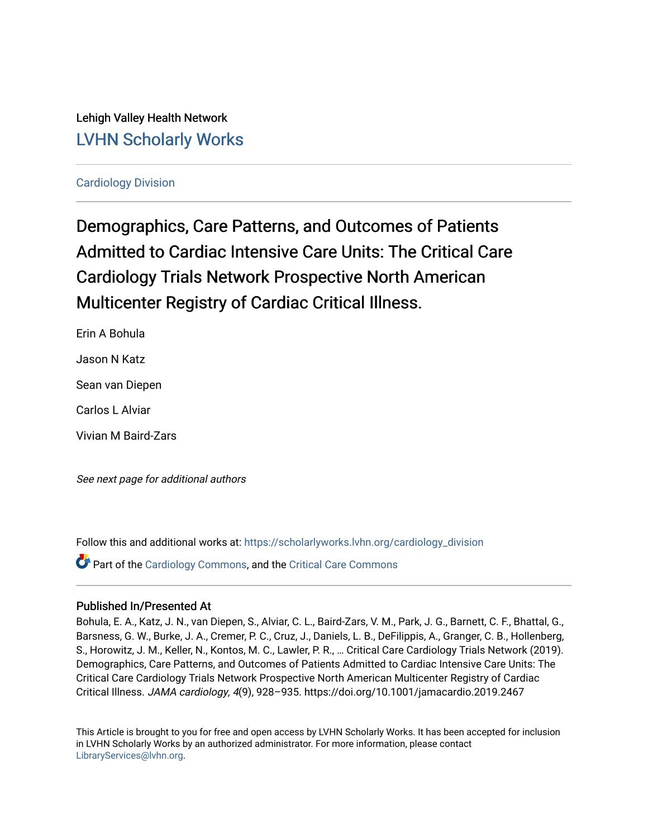Lehigh Valley Health Network [LVHN Scholarly Works](https://scholarlyworks.lvhn.org/)

# [Cardiology Division](https://scholarlyworks.lvhn.org/cardiology_division)

Demographics, Care Patterns, and Outcomes of Patients Admitted to Cardiac Intensive Care Units: The Critical Care Cardiology Trials Network Prospective North American Multicenter Registry of Cardiac Critical Illness.

Erin A Bohula Jason N Katz Sean van Diepen Carlos L Alviar Vivian M Baird-Zars

See next page for additional authors

Follow this and additional works at: [https://scholarlyworks.lvhn.org/cardiology\\_division](https://scholarlyworks.lvhn.org/cardiology_division?utm_source=scholarlyworks.lvhn.org%2Fcardiology_division%2F16&utm_medium=PDF&utm_campaign=PDFCoverPages)

Part of the [Cardiology Commons](https://network.bepress.com/hgg/discipline/683?utm_source=scholarlyworks.lvhn.org%2Fcardiology_division%2F16&utm_medium=PDF&utm_campaign=PDFCoverPages), and the [Critical Care Commons](https://network.bepress.com/hgg/discipline/1226?utm_source=scholarlyworks.lvhn.org%2Fcardiology_division%2F16&utm_medium=PDF&utm_campaign=PDFCoverPages)

# Published In/Presented At

Bohula, E. A., Katz, J. N., van Diepen, S., Alviar, C. L., Baird-Zars, V. M., Park, J. G., Barnett, C. F., Bhattal, G., Barsness, G. W., Burke, J. A., Cremer, P. C., Cruz, J., Daniels, L. B., DeFilippis, A., Granger, C. B., Hollenberg, S., Horowitz, J. M., Keller, N., Kontos, M. C., Lawler, P. R., … Critical Care Cardiology Trials Network (2019). Demographics, Care Patterns, and Outcomes of Patients Admitted to Cardiac Intensive Care Units: The Critical Care Cardiology Trials Network Prospective North American Multicenter Registry of Cardiac Critical Illness. JAMA cardiology, 4(9), 928–935. https://doi.org/10.1001/jamacardio.2019.2467

This Article is brought to you for free and open access by LVHN Scholarly Works. It has been accepted for inclusion in LVHN Scholarly Works by an authorized administrator. For more information, please contact [LibraryServices@lvhn.org](mailto:LibraryServices@lvhn.org).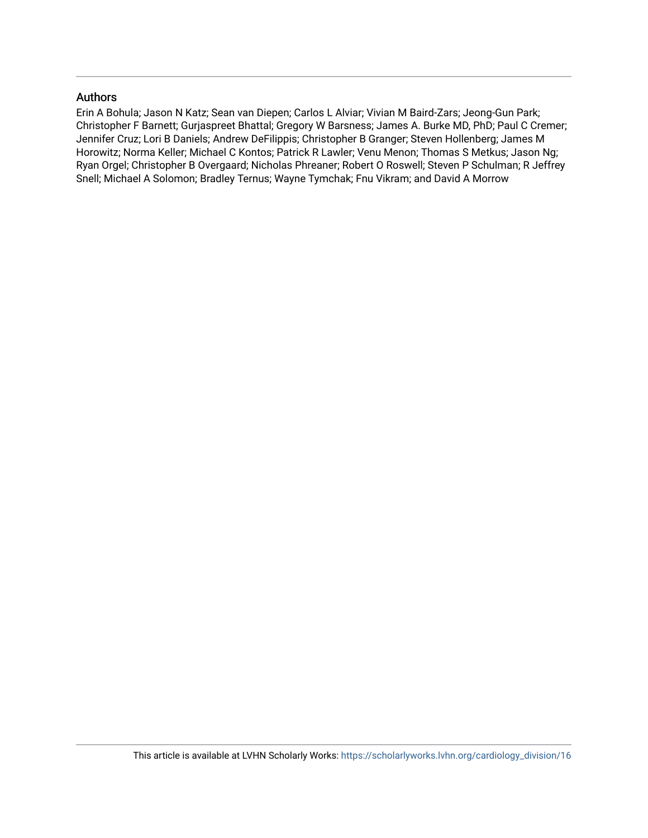# Authors

Erin A Bohula; Jason N Katz; Sean van Diepen; Carlos L Alviar; Vivian M Baird-Zars; Jeong-Gun Park; Christopher F Barnett; Gurjaspreet Bhattal; Gregory W Barsness; James A. Burke MD, PhD; Paul C Cremer; Jennifer Cruz; Lori B Daniels; Andrew DeFilippis; Christopher B Granger; Steven Hollenberg; James M Horowitz; Norma Keller; Michael C Kontos; Patrick R Lawler; Venu Menon; Thomas S Metkus; Jason Ng; Ryan Orgel; Christopher B Overgaard; Nicholas Phreaner; Robert O Roswell; Steven P Schulman; R Jeffrey Snell; Michael A Solomon; Bradley Ternus; Wayne Tymchak; Fnu Vikram; and David A Morrow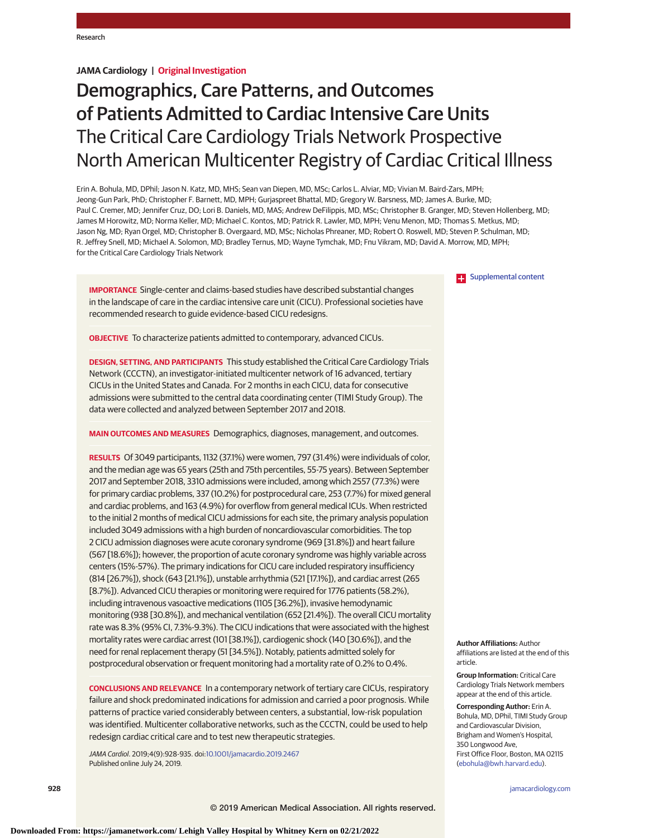# **JAMA Cardiology | Original Investigation**

# Demographics, Care Patterns, and Outcomes of Patients Admitted to Cardiac Intensive Care Units The Critical Care Cardiology Trials Network Prospective North American Multicenter Registry of Cardiac Critical Illness

Erin A. Bohula, MD, DPhil; Jason N. Katz, MD, MHS; Sean van Diepen, MD, MSc; Carlos L. Alviar, MD; Vivian M. Baird-Zars, MPH; Jeong-Gun Park, PhD; Christopher F. Barnett, MD, MPH; Gurjaspreet Bhattal, MD; Gregory W. Barsness, MD; James A. Burke, MD; Paul C. Cremer, MD; Jennifer Cruz, DO; Lori B. Daniels, MD, MAS; Andrew DeFilippis, MD, MSc; Christopher B. Granger, MD; Steven Hollenberg, MD; James M Horowitz, MD; Norma Keller, MD; Michael C. Kontos, MD; Patrick R. Lawler, MD, MPH; Venu Menon, MD; Thomas S. Metkus, MD; Jason Ng, MD; Ryan Orgel, MD; Christopher B. Overgaard, MD, MSc; Nicholas Phreaner, MD; Robert O. Roswell, MD; Steven P. Schulman, MD; R. Jeffrey Snell, MD; Michael A. Solomon, MD; Bradley Ternus, MD; Wayne Tymchak, MD; Fnu Vikram, MD; David A. Morrow, MD, MPH; for the Critical Care Cardiology Trials Network

**IMPORTANCE** Single-center and claims-based studies have described substantial changes in the landscape of care in the cardiac intensive care unit (CICU). Professional societies have recommended research to guide evidence-based CICU redesigns.

**OBJECTIVE** To characterize patients admitted to contemporary, advanced CICUs.

**DESIGN, SETTING, AND PARTICIPANTS** This study established the Critical Care Cardiology Trials Network (CCCTN), an investigator-initiated multicenter network of 16 advanced, tertiary CICUs in the United States and Canada. For 2 months in each CICU, data for consecutive admissions were submitted to the central data coordinating center (TIMI Study Group). The data were collected and analyzed between September 2017 and 2018.

**MAIN OUTCOMES AND MEASURES** Demographics, diagnoses, management, and outcomes.

**RESULTS** Of 3049 participants, 1132 (37.1%) were women, 797 (31.4%) were individuals of color, and the median age was 65 years (25th and 75th percentiles, 55-75 years). Between September 2017 and September 2018, 3310 admissions were included, among which 2557 (77.3%) were for primary cardiac problems, 337 (10.2%) for postprocedural care, 253 (7.7%) for mixed general and cardiac problems, and 163 (4.9%) for overflow from general medical ICUs. When restricted to the initial 2 months of medical CICU admissions for each site, the primary analysis population included 3049 admissions with a high burden of noncardiovascular comorbidities. The top 2 CICU admission diagnoses were acute coronary syndrome (969 [31.8%]) and heart failure (567 [18.6%]); however, the proportion of acute coronary syndrome was highly variable across centers (15%-57%). The primary indications for CICU care included respiratory insufficiency (814 [26.7%]), shock (643 [21.1%]), unstable arrhythmia (521 [17.1%]), and cardiac arrest (265 [8.7%]). Advanced CICU therapies or monitoring were required for 1776 patients (58.2%), including intravenous vasoactive medications (1105 [36.2%]), invasive hemodynamic monitoring (938 [30.8%]), and mechanical ventilation (652 [21.4%]). The overall CICU mortality rate was 8.3% (95% CI, 7.3%-9.3%). The CICU indications that were associated with the highest mortality rates were cardiac arrest (101 [38.1%]), cardiogenic shock (140 [30.6%]), and the need for renal replacement therapy (51 [34.5%]). Notably, patients admitted solely for postprocedural observation or frequent monitoring had a mortality rate of 0.2% to 0.4%.

**CONCLUSIONS AND RELEVANCE** In a contemporary network of tertiary care CICUs, respiratory failure and shock predominated indications for admission and carried a poor prognosis. While patterns of practice varied considerably between centers, a substantial, low-risk population was identified. Multicenter collaborative networks, such as the CCCTN, could be used to help redesign cardiac critical care and to test new therapeutic strategies.

JAMA Cardiol. 2019;4(9):928-935. doi[:10.1001/jamacardio.2019.2467](https://jama.jamanetwork.com/article.aspx?doi=10.1001/jamacardio.2019.2467&utm_campaign=articlePDF%26utm_medium=articlePDFlink%26utm_source=articlePDF%26utm_content=jamacardio.2019.2467) Published online July 24, 2019.

**Examplemental content** 

**Author Affiliations:** Author affiliations are listed at the end of this article.

**Group Information:** Critical Care Cardiology Trials Network members appear at the end of this article.

**Corresponding Author:** Erin A. Bohula, MD, DPhil, TIMI Study Group and Cardiovascular Division, Brigham and Women's Hospital, 350 Longwood Ave, First Office Floor, Boston, MA 02115 [\(ebohula@bwh.harvard.edu\)](mailto:ebohula@bwh.harvard.edu).

**928 (Reprinted)** [jamacardiology.com](http://www.jamacardiology.com/?utm_campaign=articlePDF%26utm_medium=articlePDFlink%26utm_source=articlePDF%26utm_content=jamacardio.2019.2467)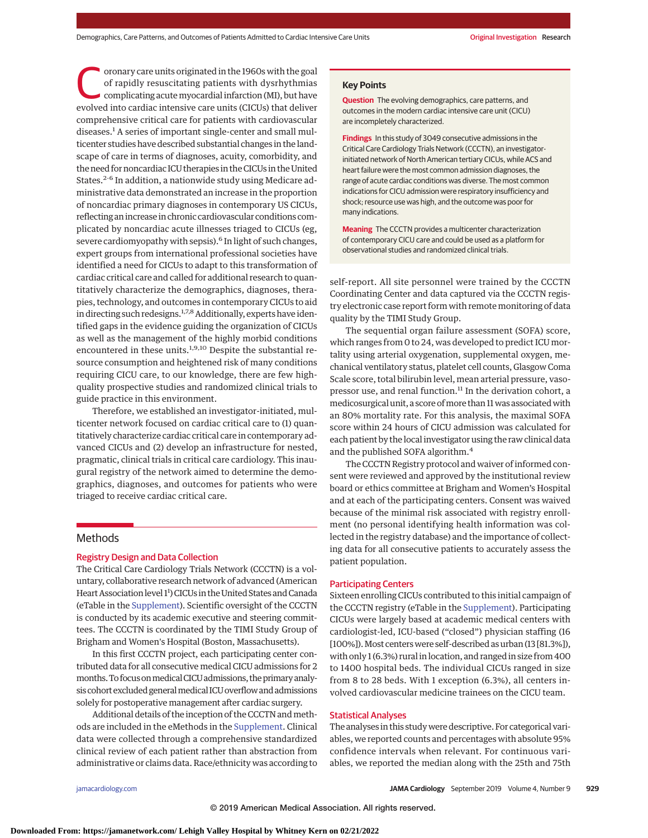coronary care units originated in the 1960s with the goal<br>of rapidly resuscitating patients with dysrhythmias<br>complicating acute myocardial infarction (MI), but have<br>avolved into cardiac intensive care units (CICUs) that d of rapidly resuscitating patients with dysrhythmias evolved into cardiac intensive care units (CICUs) that deliver comprehensive critical care for patients with cardiovascular diseases.<sup>1</sup> A series of important single-center and small multicenter studies have described substantial changes in the landscape of care in terms of diagnoses, acuity, comorbidity, and the need for noncardiac ICU therapies in the CICUs in the United States.<sup>2-6</sup> In addition, a nationwide study using Medicare administrative data demonstrated an increase in the proportion of noncardiac primary diagnoses in contemporary US CICUs, reflecting an increase in chronic cardiovascular conditions complicated by noncardiac acute illnesses triaged to CICUs (eg, severe cardiomyopathy with sepsis).<sup>6</sup> In light of such changes, expert groups from international professional societies have identified a need for CICUs to adapt to this transformation of cardiac critical care and called for additional research to quantitatively characterize the demographics, diagnoses, therapies, technology, and outcomes in contemporary CICUs to aid in directing such redesigns.<sup>1,7,8</sup> Additionally, experts have identified gaps in the evidence guiding the organization of CICUs as well as the management of the highly morbid conditions encountered in these units.<sup>1,9,10</sup> Despite the substantial resource consumption and heightened risk of many conditions requiring CICU care, to our knowledge, there are few highquality prospective studies and randomized clinical trials to guide practice in this environment.

Therefore, we established an investigator-initiated, multicenter network focused on cardiac critical care to (1) quantitatively characterize cardiac critical care in contemporary advanced CICUs and (2) develop an infrastructure for nested, pragmatic, clinical trials in critical care cardiology. This inaugural registry of the network aimed to determine the demographics, diagnoses, and outcomes for patients who were triaged to receive cardiac critical care.

## Methods

#### Registry Design and Data Collection

The Critical Care Cardiology Trials Network (CCCTN) is a voluntary, collaborative research network of advanced (American Heart Association level 1<sup>1</sup>) CICUs in the United States and Canada (eTable in the [Supplement\)](https://jama.jamanetwork.com/article.aspx?doi=10.1001/jamacardio.2019.2467&utm_campaign=articlePDF%26utm_medium=articlePDFlink%26utm_source=articlePDF%26utm_content=jamacardio.2019.2467). Scientific oversight of the CCCTN is conducted by its academic executive and steering committees. The CCCTN is coordinated by the TIMI Study Group of Brigham and Women's Hospital (Boston, Massachusetts).

In this first CCCTN project, each participating center contributed data for all consecutive medical CICU admissions for 2 months. To focus on medical CICU admissions, the primary analysis cohort excluded general medical ICU overflow and admissions solely for postoperative management after cardiac surgery.

Additional details of the inception of the CCCTN and methods are included in the eMethods in the [Supplement.](https://jama.jamanetwork.com/article.aspx?doi=10.1001/jamacardio.2019.2467&utm_campaign=articlePDF%26utm_medium=articlePDFlink%26utm_source=articlePDF%26utm_content=jamacardio.2019.2467) Clinical data were collected through a comprehensive standardized clinical review of each patient rather than abstraction from administrative or claims data. Race/ethnicity was according to

#### **Key Points**

**Question** The evolving demographics, care patterns, and outcomes in the modern cardiac intensive care unit (CICU) are incompletely characterized.

**Findings** In this study of 3049 consecutive admissions in the Critical Care Cardiology Trials Network (CCCTN), an investigatorinitiated network of North American tertiary CICUs, while ACS and heart failure were the most common admission diagnoses, the range of acute cardiac conditions was diverse. The most common indications for CICU admission were respiratory insufficiency and shock; resource use was high, and the outcome was poor for many indications.

**Meaning** The CCCTN provides a multicenter characterization of contemporary CICU care and could be used as a platform for observational studies and randomized clinical trials.

self-report. All site personnel were trained by the CCCTN Coordinating Center and data captured via the CCCTN registry electronic case report form with remote monitoring of data quality by the TIMI Study Group.

The sequential organ failure assessment (SOFA) score, which ranges from 0 to 24, was developed to predict ICU mortality using arterial oxygenation, supplemental oxygen, mechanical ventilatory status, platelet cell counts, Glasgow Coma Scale score, total bilirubin level, mean arterial pressure, vasopressor use, and renal function.<sup>11</sup> In the derivation cohort, a medicosurgical unit, a score of more than 11 was associated with an 80% mortality rate. For this analysis, the maximal SOFA score within 24 hours of CICU admission was calculated for each patient by the local investigator using the raw clinical data and the published SOFA algorithm.<sup>4</sup>

The CCCTN Registry protocol and waiver of informed consent were reviewed and approved by the institutional review board or ethics committee at Brigham and Women's Hospital and at each of the participating centers. Consent was waived because of the minimal risk associated with registry enrollment (no personal identifying health information was collected in the registry database) and the importance of collecting data for all consecutive patients to accurately assess the patient population.

#### Participating Centers

Sixteen enrolling CICUs contributed to this initial campaign of the CCCTN registry (eTable in the [Supplement\)](https://jama.jamanetwork.com/article.aspx?doi=10.1001/jamacardio.2019.2467&utm_campaign=articlePDF%26utm_medium=articlePDFlink%26utm_source=articlePDF%26utm_content=jamacardio.2019.2467). Participating CICUs were largely based at academic medical centers with cardiologist-led, ICU-based ("closed") physician staffing (16 [100%]). Most centers were self-described as urban (13 [81.3%]), with only 1 (6.3%) rural in location, and ranged in size from 400 to 1400 hospital beds. The individual CICUs ranged in size from 8 to 28 beds. With 1 exception (6.3%), all centers involved cardiovascular medicine trainees on the CICU team.

#### Statistical Analyses

The analyses in this study were descriptive. For categorical variables, we reported counts and percentages with absolute 95% confidence intervals when relevant. For continuous variables, we reported the median along with the 25th and 75th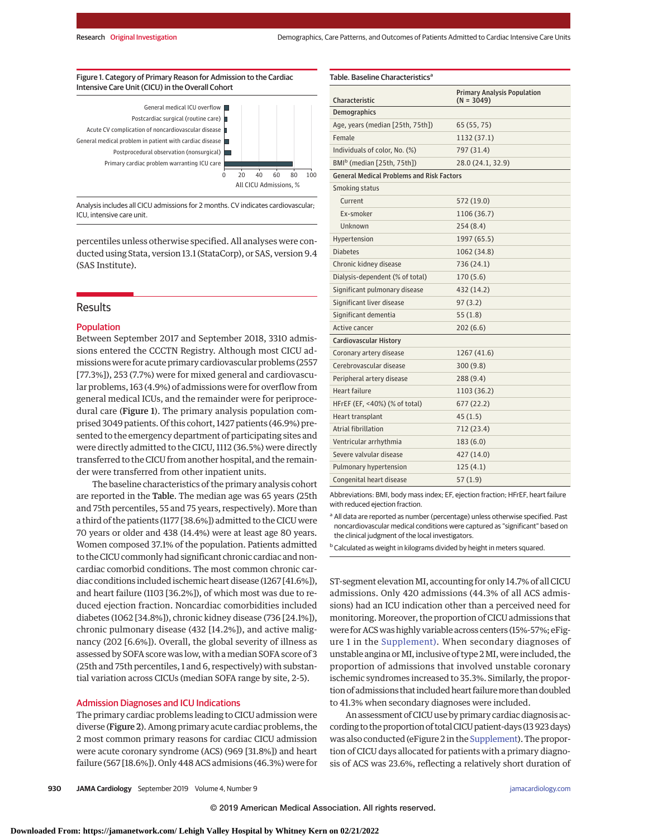

Analysis includes all CICU admissions for 2 months. CV indicates cardiovascular; ICU, intensive care unit.

percentiles unless otherwise specified. All analyses were conducted using Stata, version 13.1 (StataCorp), or SAS, version 9.4 (SAS Institute).

## Results

### Population

Between September 2017 and September 2018, 3310 admissions entered the CCCTN Registry. Although most CICU admissions were for acute primary cardiovascular problems (2557 [77.3%]), 253 (7.7%) were for mixed general and cardiovascular problems, 163 (4.9%) of admissions were for overflow from general medical ICUs, and the remainder were for periprocedural care (Figure 1). The primary analysis population comprised 3049 patients. Of this cohort, 1427 patients (46.9%) presented to the emergency department of participating sites and were directly admitted to the CICU, 1112 (36.5%) were directly transferred to the CICU from another hospital, and the remainder were transferred from other inpatient units.

The baseline characteristics of the primary analysis cohort are reported in the Table. The median age was 65 years (25th and 75th percentiles, 55 and 75 years, respectively). More than a third of the patients (1177 [38.6%]) admitted to the CICU were 70 years or older and 438 (14.4%) were at least age 80 years. Women composed 37.1% of the population. Patients admitted to the CICU commonly had significant chronic cardiac and noncardiac comorbid conditions. The most common chronic cardiac conditions included ischemic heart disease (1267 [41.6%]), and heart failure (1103 [36.2%]), of which most was due to reduced ejection fraction. Noncardiac comorbidities included diabetes (1062 [34.8%]), chronic kidney disease (736 [24.1%]), chronic pulmonary disease (432 [14.2%]), and active malignancy (202 [6.6%]). Overall, the global severity of illness as assessed by SOFA score was low, with amedian SOFA score of 3 (25th and 75th percentiles, 1 and 6, respectively) with substantial variation across CICUs (median SOFA range by site, 2-5).

#### Admission Diagnoses and ICU Indications

The primary cardiac problems leading to CICU admission were diverse (Figure 2). Among primary acute cardiac problems, the 2 most common primary reasons for cardiac CICU admission were acute coronary syndrome (ACS) (969 [31.8%]) and heart failure (567 [18.6%]). Only 448 ACS admisions (46.3%) were for

| Table. Baseline Characteristicsª                 | <b>Primary Analysis Population</b> |
|--------------------------------------------------|------------------------------------|
| Characteristic                                   | $(N = 3049)$                       |
| <b>Demographics</b>                              |                                    |
| Age, years (median [25th, 75th])                 | 65 (55, 75)                        |
| Female                                           | 1132 (37.1)                        |
| Individuals of color, No. (%)                    | 797 (31.4)                         |
| BMI <sup>b</sup> (median [25th, 75th])           | 28.0 (24.1, 32.9)                  |
| <b>General Medical Problems and Risk Factors</b> |                                    |
| Smoking status                                   |                                    |
| Current                                          | 572 (19.0)                         |
| Ex-smoker                                        | 1106 (36.7)                        |
| Unknown                                          | 254(8.4)                           |
| Hypertension                                     | 1997 (65.5)                        |
| <b>Diabetes</b>                                  | 1062 (34.8)                        |
| Chronic kidney disease                           | 736 (24.1)                         |
| Dialysis-dependent (% of total)                  | 170 (5.6)                          |
| Significant pulmonary disease                    | 432 (14.2)                         |
| Significant liver disease                        | 97(3.2)                            |
| Significant dementia                             | 55 (1.8)                           |
| Active cancer                                    | 202(6.6)                           |
| Cardiovascular History                           |                                    |
| Coronary artery disease                          | 1267 (41.6)                        |
| Cerebrovascular disease                          | 300 (9.8)                          |
| Peripheral artery disease                        | 288 (9.4)                          |
| Heart failure                                    | 1103 (36.2)                        |
| HFrEF (EF, <40%) (% of total)                    | 677(22.2)                          |
| Heart transplant                                 | 45(1.5)                            |
| <b>Atrial fibrillation</b>                       | 712 (23.4)                         |
| Ventricular arrhythmia                           | 183(6.0)                           |
| Severe valvular disease                          | 427 (14.0)                         |
| Pulmonary hypertension                           | 125(4.1)                           |
| Congenital heart disease                         | 57(1.9)                            |

Abbreviations: BMI, body mass index; EF, ejection fraction; HFrEF, heart failure with reduced ejection fraction.

<sup>a</sup> All data are reported as number (percentage) unless otherwise specified. Past noncardiovascular medical conditions were captured as "significant" based on the clinical judgment of the local investigators.

**b** Calculated as weight in kilograms divided by height in meters squared.

ST-segment elevation MI, accounting for only 14.7% of all CICU admissions. Only 420 admissions (44.3% of all ACS admissions) had an ICU indication other than a perceived need for monitoring. Moreover, the proportion of CICU admissions that were for ACS was highly variable across centers (15%-57%; eFigure 1 in the [Supplement\).](https://jama.jamanetwork.com/article.aspx?doi=10.1001/jamacardio.2019.2467&utm_campaign=articlePDF%26utm_medium=articlePDFlink%26utm_source=articlePDF%26utm_content=jamacardio.2019.2467) When secondary diagnoses of unstable angina or MI, inclusive of type 2 MI, were included, the proportion of admissions that involved unstable coronary ischemic syndromes increased to 35.3%. Similarly, the proportion of admissions that included heart failure more than doubled to 41.3% when secondary diagnoses were included.

An assessment of CICU use by primary cardiac diagnosis according to the proportion of total CICU patient-days (13 923 days) was also conducted (eFigure 2 in the [Supplement\)](https://jama.jamanetwork.com/article.aspx?doi=10.1001/jamacardio.2019.2467&utm_campaign=articlePDF%26utm_medium=articlePDFlink%26utm_source=articlePDF%26utm_content=jamacardio.2019.2467). The proportion of CICU days allocated for patients with a primary diagnosis of ACS was 23.6%, reflecting a relatively short duration of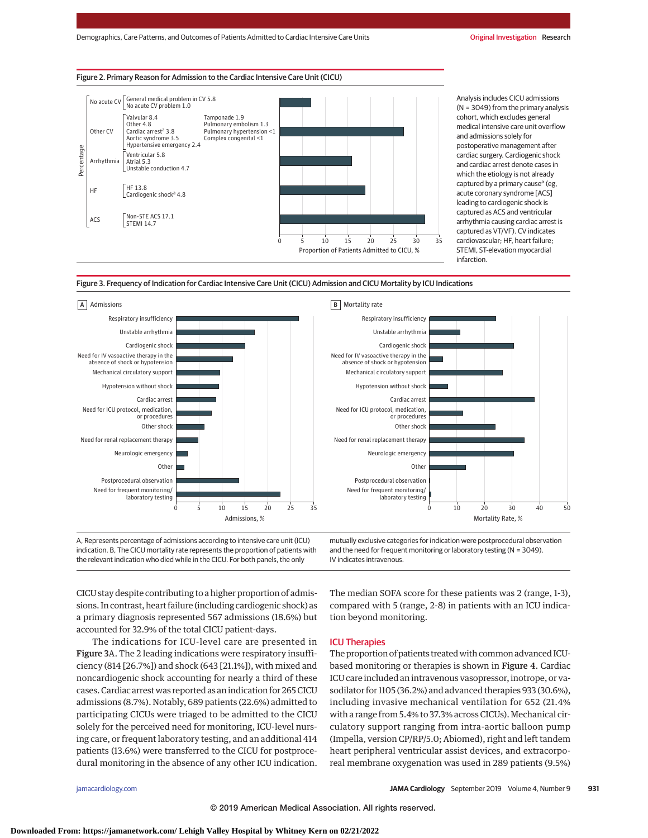#### Figure 2. Primary Reason for Admission to the Cardiac Intensive Care Unit (CICU)



Analysis includes CICU admissions (N = 3049) from the primary analysis cohort, which excludes general medical intensive care unit overflow and admissions solely for postoperative management after cardiac surgery. Cardiogenic shock and cardiac arrest denote cases in which the etiology is not already captured by a primary cause<sup>a</sup> (eg, acute coronary syndrome [ACS] leading to cardiogenic shock is captured as ACS and ventricular arrhythmia causing cardiac arrest is captured as VT/VF). CV indicates cardiovascular; HF, heart failure; STEMI, ST-elevation myocardial infarction.

#### Figure 3. Frequency of Indication for Cardiac Intensive Care Unit (CICU) Admission and CICU Mortality by ICU Indications



A, Represents percentage of admissions according to intensive care unit (ICU) indication. B, The CICU mortality rate represents the proportion of patients with the relevant indication who died while in the CICU. For both panels, the only

mutually exclusive categories for indication were postprocedural observation and the need for frequent monitoring or laboratory testing (N = 3049). IV indicates intravenous.

CICU stay despite contributing to a higher proportion of admissions. In contrast, heart failure (including cardiogenic shock) as a primary diagnosis represented 567 admissions (18.6%) but accounted for 32.9% of the total CICU patient-days.

The indications for ICU-level care are presented in Figure 3A. The 2 leading indications were respiratory insufficiency (814 [26.7%]) and shock (643 [21.1%]), with mixed and noncardiogenic shock accounting for nearly a third of these cases. Cardiac arrest was reported as an indication for 265 CICU admissions (8.7%). Notably, 689 patients (22.6%) admitted to participating CICUs were triaged to be admitted to the CICU solely for the perceived need for monitoring, ICU-level nursing care, or frequent laboratory testing, and an additional 414 patients (13.6%) were transferred to the CICU for postprocedural monitoring in the absence of any other ICU indication.

The median SOFA score for these patients was 2 (range, 1-3), compared with 5 (range, 2-8) in patients with an ICU indication beyond monitoring.

#### ICU Therapies

The proportion of patients treated with common advanced ICUbased monitoring or therapies is shown in Figure 4. Cardiac ICU care included an intravenous vasopressor, inotrope, or vasodilator for 1105 (36.2%) and advanced therapies 933 (30.6%), including invasive mechanical ventilation for 652 (21.4% with a range from 5.4% to 37.3% across CICUs). Mechanical circulatory support ranging from intra-aortic balloon pump (Impella, version CP/RP/5.0; Abiomed), right and left tandem heart peripheral ventricular assist devices, and extracorporeal membrane oxygenation was used in 289 patients (9.5%)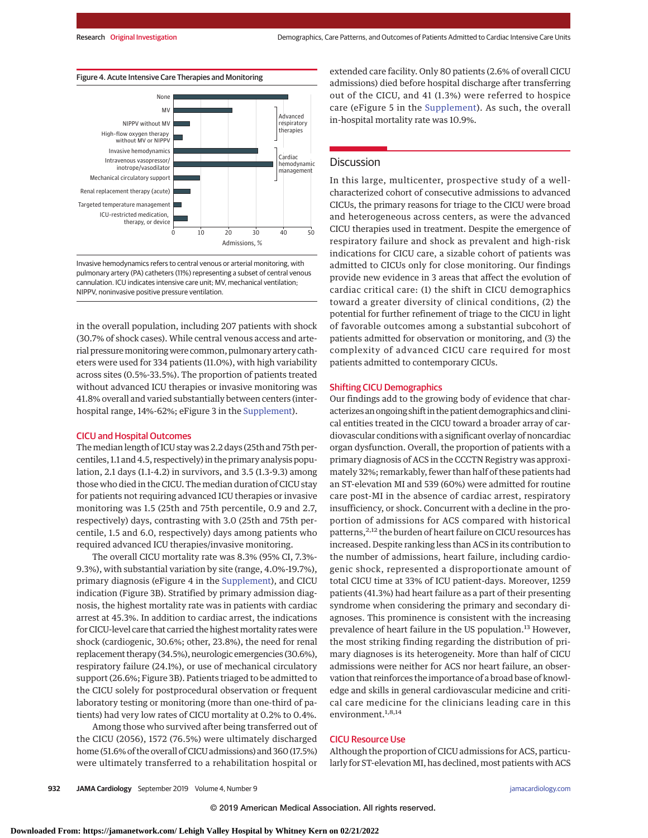

Figure 4. Acute Intensive Care Therapies and Monitoring

Invasive hemodynamics refers to central venous or arterial monitoring, with pulmonary artery (PA) catheters (11%) representing a subset of central venous cannulation. ICU indicates intensive care unit; MV, mechanical ventilation; NIPPV, noninvasive positive pressure ventilation.

in the overall population, including 207 patients with shock (30.7% of shock cases). While central venous access and arterial pressure monitoring were common, pulmonary artery catheters were used for 334 patients (11.0%), with high variability across sites (0.5%-33.5%). The proportion of patients treated without advanced ICU therapies or invasive monitoring was 41.8% overall and varied substantially between centers (interhospital range, 14%-62%; eFigure 3 in the [Supplement\)](https://jama.jamanetwork.com/article.aspx?doi=10.1001/jamacardio.2019.2467&utm_campaign=articlePDF%26utm_medium=articlePDFlink%26utm_source=articlePDF%26utm_content=jamacardio.2019.2467).

#### CICU and Hospital Outcomes

The median length of ICU stay was 2.2 days (25th and 75th percentiles, 1.1 and 4.5, respectively) in the primary analysis population, 2.1 days (1.1-4.2) in survivors, and 3.5 (1.3-9.3) among those who died in the CICU. The median duration of CICU stay for patients not requiring advanced ICU therapies or invasive monitoring was 1.5 (25th and 75th percentile, 0.9 and 2.7, respectively) days, contrasting with 3.0 (25th and 75th percentile, 1.5 and 6.0, respectively) days among patients who required advanced ICU therapies/invasive monitoring.

The overall CICU mortality rate was 8.3% (95% CI, 7.3%- 9.3%), with substantial variation by site (range, 4.0%-19.7%), primary diagnosis (eFigure 4 in the [Supplement\)](https://jama.jamanetwork.com/article.aspx?doi=10.1001/jamacardio.2019.2467&utm_campaign=articlePDF%26utm_medium=articlePDFlink%26utm_source=articlePDF%26utm_content=jamacardio.2019.2467), and CICU indication (Figure 3B). Stratified by primary admission diagnosis, the highest mortality rate was in patients with cardiac arrest at 45.3%. In addition to cardiac arrest, the indications for CICU-level care that carried the highest mortality rates were shock (cardiogenic, 30.6%; other, 23.8%), the need for renal replacement therapy (34.5%), neurologic emergencies (30.6%), respiratory failure (24.1%), or use of mechanical circulatory support (26.6%; Figure 3B). Patients triaged to be admitted to the CICU solely for postprocedural observation or frequent laboratory testing or monitoring (more than one-third of patients) had very low rates of CICU mortality at 0.2% to 0.4%.

Among those who survived after being transferred out of the CICU (2056), 1572 (76.5%) were ultimately discharged home (51.6% of the overall of CICU admissions) and 360 (17.5%) were ultimately transferred to a rehabilitation hospital or

extended care facility. Only 80 patients (2.6% of overall CICU admissions) died before hospital discharge after transferring out of the CICU, and 41 (1.3%) were referred to hospice care (eFigure 5 in the [Supplement\)](https://jama.jamanetwork.com/article.aspx?doi=10.1001/jamacardio.2019.2467&utm_campaign=articlePDF%26utm_medium=articlePDFlink%26utm_source=articlePDF%26utm_content=jamacardio.2019.2467). As such, the overall in-hospital mortality rate was 10.9%.

## **Discussion**

In this large, multicenter, prospective study of a wellcharacterized cohort of consecutive admissions to advanced CICUs, the primary reasons for triage to the CICU were broad and heterogeneous across centers, as were the advanced CICU therapies used in treatment. Despite the emergence of respiratory failure and shock as prevalent and high-risk indications for CICU care, a sizable cohort of patients was admitted to CICUs only for close monitoring. Our findings provide new evidence in 3 areas that affect the evolution of cardiac critical care: (1) the shift in CICU demographics toward a greater diversity of clinical conditions, (2) the potential for further refinement of triage to the CICU in light of favorable outcomes among a substantial subcohort of patients admitted for observation or monitoring, and (3) the complexity of advanced CICU care required for most patients admitted to contemporary CICUs.

#### Shifting CICU Demographics

Our findings add to the growing body of evidence that characterizes an ongoing shift in the patient demographics and clinical entities treated in the CICU toward a broader array of cardiovascular conditions with a significant overlay of noncardiac organ dysfunction. Overall, the proportion of patients with a primary diagnosis of ACS in the CCCTN Registry was approximately 32%; remarkably, fewer than half of these patients had an ST-elevation MI and 539 (60%) were admitted for routine care post-MI in the absence of cardiac arrest, respiratory insufficiency, or shock. Concurrent with a decline in the proportion of admissions for ACS compared with historical patterns,<sup>2,12</sup> the burden of heart failure on CICU resources has increased. Despite ranking less than ACS in its contribution to the number of admissions, heart failure, including cardiogenic shock, represented a disproportionate amount of total CICU time at 33% of ICU patient-days. Moreover, 1259 patients (41.3%) had heart failure as a part of their presenting syndrome when considering the primary and secondary diagnoses. This prominence is consistent with the increasing prevalence of heart failure in the US population.<sup>13</sup> However, the most striking finding regarding the distribution of primary diagnoses is its heterogeneity. More than half of CICU admissions were neither for ACS nor heart failure, an observation that reinforces the importance of a broad base of knowledge and skills in general cardiovascular medicine and critical care medicine for the clinicians leading care in this environment.<sup>1,8,14</sup>

#### CICU Resource Use

Although the proportion of CICU admissions for ACS, particularly for ST-elevation MI, has declined, most patients with ACS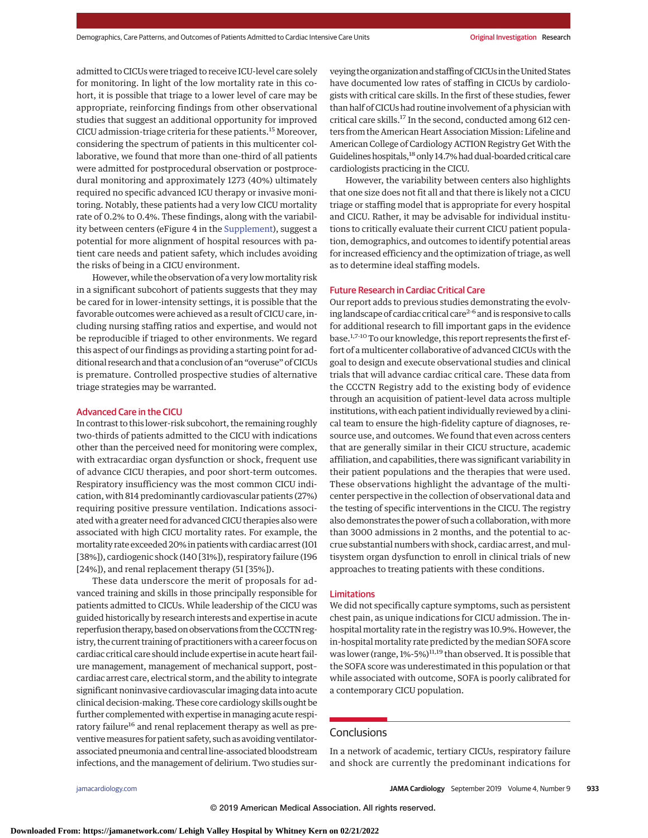admitted to CICUs were triaged to receive ICU-level care solely for monitoring. In light of the low mortality rate in this cohort, it is possible that triage to a lower level of care may be appropriate, reinforcing findings from other observational studies that suggest an additional opportunity for improved CICU admission-triage criteria for these patients.<sup>15</sup> Moreover, considering the spectrum of patients in this multicenter collaborative, we found that more than one-third of all patients were admitted for postprocedural observation or postprocedural monitoring and approximately 1273 (40%) ultimately required no specific advanced ICU therapy or invasive monitoring. Notably, these patients had a very low CICU mortality rate of 0.2% to 0.4%. These findings, along with the variability between centers (eFigure 4 in the [Supplement\)](https://jama.jamanetwork.com/article.aspx?doi=10.1001/jamacardio.2019.2467&utm_campaign=articlePDF%26utm_medium=articlePDFlink%26utm_source=articlePDF%26utm_content=jamacardio.2019.2467), suggest a potential for more alignment of hospital resources with patient care needs and patient safety, which includes avoiding the risks of being in a CICU environment.

However, while the observation of a very lowmortality risk in a significant subcohort of patients suggests that they may be cared for in lower-intensity settings, it is possible that the favorable outcomes were achieved as a result of CICU care, including nursing staffing ratios and expertise, and would not be reproducible if triaged to other environments. We regard this aspect of our findings as providing a starting point for additional research and that a conclusion of an "overuse" of CICUs is premature. Controlled prospective studies of alternative triage strategies may be warranted.

#### Advanced Care in the CICU

In contrast to this lower-risk subcohort, the remaining roughly two-thirds of patients admitted to the CICU with indications other than the perceived need for monitoring were complex, with extracardiac organ dysfunction or shock, frequent use of advance CICU therapies, and poor short-term outcomes. Respiratory insufficiency was the most common CICU indication, with 814 predominantly cardiovascular patients (27%) requiring positive pressure ventilation. Indications associated with a greater need for advanced CICU therapies also were associated with high CICU mortality rates. For example, the mortality rate exceeded 20% in patients with cardiac arrest (101 [38%]), cardiogenic shock (140 [31%]), respiratory failure (196 [24%]), and renal replacement therapy (51 [35%]).

These data underscore the merit of proposals for advanced training and skills in those principally responsible for patients admitted to CICUs. While leadership of the CICU was guided historically by research interests and expertise in acute reperfusion therapy, based on observations from theCCCTN registry, the current training of practitioners with a career focus on cardiac critical care should include expertise in acute heart failure management, management of mechanical support, post– cardiac arrest care, electrical storm, and the ability to integrate significant noninvasive cardiovascular imaging data into acute clinical decision-making. These core cardiology skills ought be further complemented with expertise in managing acute respiratory failure<sup>16</sup> and renal replacement therapy as well as preventive measures for patient safety, such as avoiding ventilatorassociated pneumonia and central line-associated bloodstream infections, and the management of delirium. Two studies surveying the organization and staffing of CICUs in the United States have documented low rates of staffing in CICUs by cardiologists with critical care skills. In the first of these studies, fewer than half of CICUs had routine involvement of a physician with critical care skills.<sup>17</sup> In the second, conducted among 612 centers from the American Heart Association Mission: Lifeline and American College of Cardiology ACTION Registry Get With the Guidelines hospitals,<sup>18</sup> only 14.7% had dual-boarded critical care cardiologists practicing in the CICU.

However, the variability between centers also highlights that one size does not fit all and that there is likely not a CICU triage or staffing model that is appropriate for every hospital and CICU. Rather, it may be advisable for individual institutions to critically evaluate their current CICU patient population, demographics, and outcomes to identify potential areas for increased efficiency and the optimization of triage, as well as to determine ideal staffing models.

#### Future Research in Cardiac Critical Care

Our report adds to previous studies demonstrating the evolving landscape of cardiac critical care<sup>2-6</sup> and is responsive to calls for additional research to fill important gaps in the evidence base.1,7-10 To our knowledge, this report represents the first effort of a multicenter collaborative of advanced CICUs with the goal to design and execute observational studies and clinical trials that will advance cardiac critical care. These data from the CCCTN Registry add to the existing body of evidence through an acquisition of patient-level data across multiple institutions, with each patient individually reviewed by a clinical team to ensure the high-fidelity capture of diagnoses, resource use, and outcomes. We found that even across centers that are generally similar in their CICU structure, academic affiliation, and capabilities, there was significant variability in their patient populations and the therapies that were used. These observations highlight the advantage of the multicenter perspective in the collection of observational data and the testing of specific interventions in the CICU. The registry also demonstrates the power of such a collaboration, with more than 3000 admissions in 2 months, and the potential to accrue substantial numbers with shock, cardiac arrest, and multisystem organ dysfunction to enroll in clinical trials of new approaches to treating patients with these conditions.

#### Limitations

We did not specifically capture symptoms, such as persistent chest pain, as unique indications for CICU admission. The inhospital mortality rate in the registry was 10.9%. However, the in-hospital mortality rate predicted by the median SOFA score was lower (range, 1%-5%)<sup>11,19</sup> than observed. It is possible that the SOFA score was underestimated in this population or that while associated with outcome, SOFA is poorly calibrated for a contemporary CICU population.

# **Conclusions**

In a network of academic, tertiary CICUs, respiratory failure and shock are currently the predominant indications for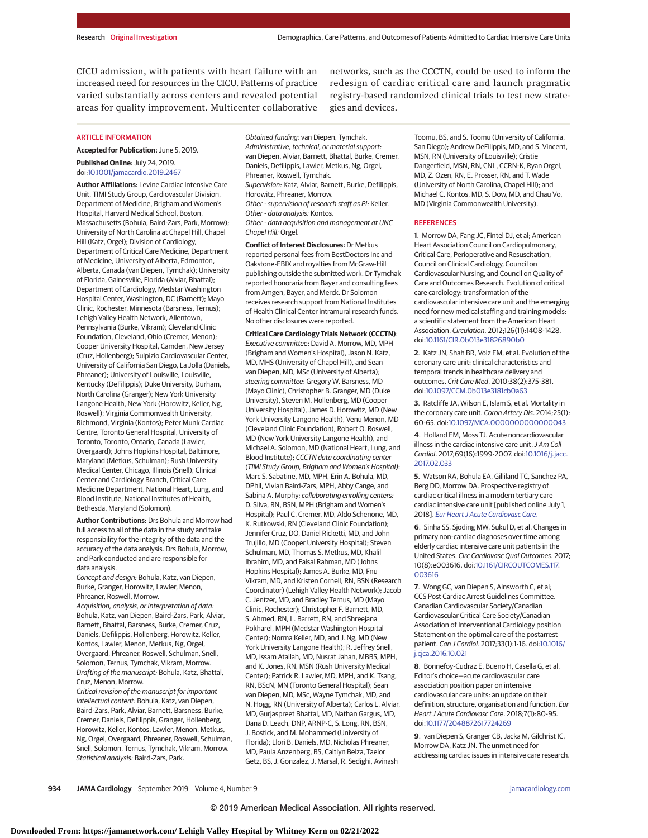CICU admission, with patients with heart failure with an increased need for resources in the CICU. Patterns of practice varied substantially across centers and revealed potential areas for quality improvement. Multicenter collaborative networks, such as the CCCTN, could be used to inform the redesign of cardiac critical care and launch pragmatic registry-based randomized clinical trials to test new strategies and devices.

#### ARTICLE INFORMATION

**Accepted for Publication:** June 5, 2019. **Published Online:** July 24, 2019. doi[:10.1001/jamacardio.2019.2467](https://jama.jamanetwork.com/article.aspx?doi=10.1001/jamacardio.2019.2467&utm_campaign=articlePDF%26utm_medium=articlePDFlink%26utm_source=articlePDF%26utm_content=jamacardio.2019.2467)

**Author Affiliations:** Levine Cardiac Intensive Care Unit, TIMI Study Group, Cardiovascular Division, Department of Medicine, Brigham and Women's Hospital, Harvard Medical School, Boston, Massachusetts (Bohula, Baird-Zars, Park, Morrow); University of North Carolina at Chapel Hill, Chapel Hill (Katz, Orgel); Division of Cardiology, Department of Critical Care Medicine, Department of Medicine, University of Alberta, Edmonton, Alberta, Canada (van Diepen, Tymchak); University of Florida, Gainesville, Florida (Alviar, Bhattal); Department of Cardiology, Medstar Washington Hospital Center, Washington, DC (Barnett); Mayo Clinic, Rochester, Minnesota (Barsness, Ternus); Lehigh Valley Health Network, Allentown, Pennsylvania (Burke, Vikram); Cleveland Clinic Foundation, Cleveland, Ohio (Cremer, Menon); Cooper University Hospital, Camden, New Jersey (Cruz, Hollenberg); Sulpizio Cardiovascular Center, University of California San Diego, La Jolla (Daniels, Phreaner); University of Louisville, Louisville, Kentucky (DeFilippis); Duke University, Durham, North Carolina (Granger); New York University Langone Health, New York (Horowitz, Keller, Ng, Roswell); Virginia Commonwealth University, Richmond, Virginia (Kontos); Peter Munk Cardiac Centre, Toronto General Hospital, University of Toronto, Toronto, Ontario, Canada (Lawler, Overgaard); Johns Hopkins Hospital, Baltimore, Maryland (Metkus, Schulman); Rush University Medical Center, Chicago, Illinois (Snell); Clinical Center and Cardiology Branch, Critical Care Medicine Department, National Heart, Lung, and Blood Institute, National Institutes of Health, Bethesda, Maryland (Solomon).

**Author Contributions:** Drs Bohula and Morrow had full access to all of the data in the study and take responsibility for the integrity of the data and the accuracy of the data analysis. Drs Bohula, Morrow, and Park conducted and are responsible for data analysis.

Concept and design: Bohula, Katz, van Diepen, Burke, Granger, Horowitz, Lawler, Menon, Phreaner, Roswell, Morrow.

Acquisition, analysis, or interpretation of data: Bohula, Katz, van Diepen, Baird-Zars, Park, Alviar, Barnett, Bhattal, Barsness, Burke, Cremer, Cruz, Daniels, Defilippis, Hollenberg, Horowitz, Keller, Kontos, Lawler, Menon, Metkus, Ng, Orgel, Overgaard, Phreaner, Roswell, Schulman, Snell, Solomon, Ternus, Tymchak, Vikram, Morrow. Drafting of the manuscript: Bohula, Katz, Bhattal, Cruz, Menon, Morrow.

Critical revision of the manuscript for important intellectual content: Bohula, Katz, van Diepen, Baird-Zars, Park, Alviar, Barnett, Barsness, Burke, Cremer, Daniels, Defilippis, Granger, Hollenberg, Horowitz, Keller, Kontos, Lawler, Menon, Metkus, Ng, Orgel, Overgaard, Phreaner, Roswell, Schulman, Snell, Solomon, Ternus, Tymchak, Vikram, Morrow. Statistical analysis: Baird-Zars, Park.

Obtained funding: van Diepen, Tymchak. Administrative, technical, or material support: van Diepen, Alviar, Barnett, Bhattal, Burke, Cremer, Daniels, Defilippis, Lawler, Metkus, Ng, Orgel, Phreaner, Roswell, Tymchak. Supervision: Katz, Alviar, Barnett, Burke, Defilippis, Horowitz, Phreaner, Morrow. Other - supervision of research staff as PI: Keller. Other - data analysis: Kontos. Other - data acquisition and management at UNC

Chapel Hill: Orgel.

**Conflict of Interest Disclosures:** Dr Metkus reported personal fees from BestDoctors Inc and Oakstone-EBIX and royalties from McGraw-Hill publishing outside the submitted work. Dr Tymchak reported honoraria from Bayer and consulting fees from Amgen, Bayer, and Merck. Dr Solomon receives research support from National Institutes of Health Clinical Center intramural research funds. No other disclosures were reported.

**Critical Care Cardiology Trials Network (CCCTN)**: Executive committee: David A. Morrow, MD, MPH (Brigham and Women's Hospital), Jason N. Katz, MD, MHS (University of Chapel Hill), and Sean van Diepen, MD, MSc (University of Alberta); steering committee: Gregory W. Barsness, MD (Mayo Clinic), Christopher B. Granger, MD (Duke University), Steven M. Hollenberg, MD (Cooper University Hospital), James D. Horowitz, MD (New York University Langone Health), Venu Menon, MD (Cleveland Clinic Foundation), Robert O. Roswell, MD (New York University Langone Health), and Michael A. Solomon, MD (National Heart, Lung, and Blood Institute); CCCTN data coordinating center (TIMI Study Group, Brigham and Women's Hospital): Marc S. Sabatine, MD, MPH, Erin A. Bohula, MD, DPhil, Vivian Baird-Zars, MPH, Abby Cange, and Sabina A. Murphy; collaborating enrolling centers: D. Silva, RN, BSN, MPH (Brigham and Women's Hospital); Paul C. Cremer, MD, Aldo Schenone, MD, K. Rutkowski, RN (Cleveland Clinic Foundation); Jennifer Cruz, DO, Daniel Ricketti, MD, and John Trujillo, MD (Cooper University Hospital); Steven Schulman, MD, Thomas S. Metkus, MD, Khalil Ibrahim, MD, and Faisal Rahman, MD (Johns Hopkins Hospital); James A. Burke, MD, Fnu Vikram, MD, and Kristen Cornell, RN, BSN (Research Coordinator) (Lehigh Valley Health Network); Jacob C. Jentzer, MD, and Bradley Ternus, MD (Mayo Clinic, Rochester); Christopher F. Barnett, MD, S. Ahmed, RN, L. Barrett, RN, and Shreejana Pokharel, MPH (Medstar Washington Hospital Center); Norma Keller, MD, and J. Ng, MD (New York University Langone Health); R. Jeffrey Snell, MD, Issam Atallah, MD, Nusrat Jahan, MBBS, MPH, and K. Jones, RN, MSN (Rush University Medical Center); Patrick R. Lawler, MD, MPH, and K. Tsang, RN, BScN, MN (Toronto General Hospital); Sean van Diepen, MD, MSc, Wayne Tymchak, MD, and N. Hogg, RN (University of Alberta); Carlos L. Alviar, MD, Gurjaspreet Bhattal, MD, Nathan Gargus, MD, Dana D. Leach, DNP, ARNP-C, S. Long, RN, BSN, J. Bostick, and M. Mohammed (University of Florida); Llori B. Daniels, MD, Nicholas Phreaner, MD, Paula Anzenberg, BS, Caitlyn Belza, Taelor Getz, BS, J. Gonzalez, J. Marsal, R. Sedighi, Avinash

Toomu, BS, and S. Toomu (University of California, San Diego); Andrew DeFilippis, MD, and S. Vincent, MSN, RN (University of Louisville); Cristie Dangerfield, MSN, RN, CNL, CCRN-K, Ryan Orgel, MD, Z. Ozen, RN, E. Prosser, RN, and T. Wade (University of North Carolina, Chapel Hill); and Michael C. Kontos, MD, S. Dow, MD, and Chau Vo, MD (Virginia Commonwealth University).

#### **REFERENCES**

**1**. Morrow DA, Fang JC, Fintel DJ, et al; American Heart Association Council on Cardiopulmonary, Critical Care, Perioperative and Resuscitation, Council on Clinical Cardiology, Council on Cardiovascular Nursing, and Council on Quality of Care and Outcomes Research. Evolution of critical care cardiology: transformation of the cardiovascular intensive care unit and the emerging need for new medical staffing and training models: a scientific statement from the American Heart Association. Circulation. 2012;126(11):1408-1428. doi[:10.1161/CIR.0b013e31826890b0](https://dx.doi.org/10.1161/CIR.0b013e31826890b0)

**2**. Katz JN, Shah BR, Volz EM, et al. Evolution of the coronary care unit: clinical characteristics and temporal trends in healthcare delivery and outcomes. Crit Care Med. 2010;38(2):375-381. doi[:10.1097/CCM.0b013e3181cb0a63](https://dx.doi.org/10.1097/CCM.0b013e3181cb0a63)

**3**. Ratcliffe JA, Wilson E, Islam S, et al. Mortality in the coronary care unit. Coron Artery Dis. 2014;25(1): 60-65. doi[:10.1097/MCA.0000000000000043](https://dx.doi.org/10.1097/MCA.0000000000000043)

**4**. Holland EM, Moss TJ. Acute noncardiovascular illness in the cardiac intensive care unit. J Am Coll Cardiol. 2017;69(16):1999-2007. doi[:10.1016/j.jacc.](https://dx.doi.org/10.1016/j.jacc.2017.02.033) [2017.02.033](https://dx.doi.org/10.1016/j.jacc.2017.02.033)

**5**. Watson RA, Bohula EA, Gilliland TC, Sanchez PA, Berg DD, Morrow DA. Prospective registry of cardiac critical illness in a modern tertiary care cardiac intensive care unit [published online July 1, 2018]. [Eur Heart J Acute Cardiovasc Care](https://www.ncbi.nlm.nih.gov/pubmed/30033736).

**6**[. Sinha SS, Sjoding MW, Sukul D, et al. Changes in](https://www.ncbi.nlm.nih.gov/pubmed/30033736) [primary non-cardiac diagnoses over time among](https://www.ncbi.nlm.nih.gov/pubmed/30033736) [elderly cardiac intensive care unit patients in the](https://www.ncbi.nlm.nih.gov/pubmed/30033736) United States. [Circ Cardiovasc Qual Outcomes](https://www.ncbi.nlm.nih.gov/pubmed/30033736). 2017; 10(8):e003616. doi[:10.1161/CIRCOUTCOMES.117.](https://dx.doi.org/10.1161/CIRCOUTCOMES.117.003616) [003616](https://dx.doi.org/10.1161/CIRCOUTCOMES.117.003616)

**7**. Wong GC, van Diepen S, Ainsworth C, et al; CCS Post Cardiac Arrest Guidelines Committee. Canadian Cardiovascular Society/Canadian Cardiovascular Critical Care Society/Canadian Association of Interventional Cardiology position Statement on the optimal care of the postarrest patient. Can J Cardiol. 2017;33(1):1-16. doi[:10.1016/](https://dx.doi.org/10.1016/j.cjca.2016.10.021) [j.cjca.2016.10.021](https://dx.doi.org/10.1016/j.cjca.2016.10.021)

**8**. Bonnefoy-Cudraz E, Bueno H, Casella G, et al. Editor's choice—acute cardiovascular care association position paper on intensive cardiovascular care units: an update on their definition, structure, organisation and function. Eur Heart J Acute Cardiovasc Care. 2018;7(1):80-95. doi[:10.1177/2048872617724269](https://dx.doi.org/10.1177/2048872617724269)

**9**. van Diepen S, Granger CB, Jacka M, Gilchrist IC, Morrow DA, Katz JN. The unmet need for addressing cardiac issues in intensive care research.